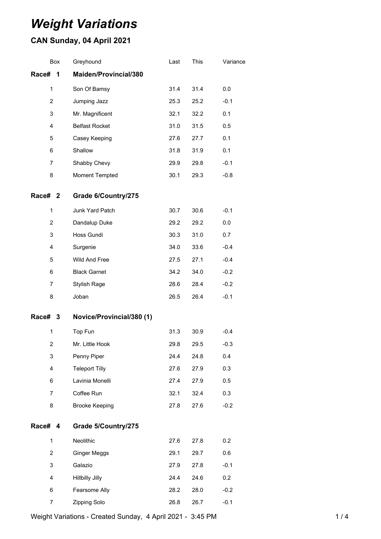# *Weight Variations*

## **CAN Sunday, 04 April 2021**

|                | Box | Greyhound                 | Last | This | Variance |
|----------------|-----|---------------------------|------|------|----------|
| Race#          | 1   | Maiden/Provincial/380     |      |      |          |
| $\mathbf{1}$   |     | Son Of Bamsy              | 31.4 | 31.4 | 0.0      |
| $\overline{c}$ |     | Jumping Jazz              | 25.3 | 25.2 | $-0.1$   |
| 3              |     | Mr. Magnificent           | 32.1 | 32.2 | 0.1      |
| $\overline{4}$ |     | <b>Belfast Rocket</b>     | 31.0 | 31.5 | 0.5      |
| 5              |     | Casey Keeping             | 27.6 | 27.7 | 0.1      |
| 6              |     | Shallow                   | 31.8 | 31.9 | 0.1      |
| 7              |     | Shabby Chevy              | 29.9 | 29.8 | $-0.1$   |
| 8              |     | Moment Tempted            | 30.1 | 29.3 | $-0.8$   |
| Race# 2        |     | Grade 6/Country/275       |      |      |          |
| 1              |     | Junk Yard Patch           | 30.7 | 30.6 | $-0.1$   |
| 2              |     | Dandalup Duke             | 29.2 | 29.2 | 0.0      |
| 3              |     | Hoss Gundi                | 30.3 | 31.0 | 0.7      |
| $\overline{4}$ |     | Surgenie                  | 34.0 | 33.6 | $-0.4$   |
| 5              |     | Wild And Free             | 27.5 | 27.1 | $-0.4$   |
| 6              |     | <b>Black Garnet</b>       | 34.2 | 34.0 | $-0.2$   |
| 7              |     | <b>Stylish Rage</b>       | 28.6 | 28.4 | $-0.2$   |
| 8              |     | Joban                     | 26.5 | 26.4 | $-0.1$   |
| Race# 3        |     | Novice/Provincial/380 (1) |      |      |          |
| $\mathbf{1}$   |     | Top Fun                   | 31.3 | 30.9 | $-0.4$   |
| $\overline{2}$ |     | Mr. Little Hook           | 29.8 | 29.5 | $-0.3$   |
| 3              |     | Penny Piper               | 24.4 | 24.8 | 0.4      |
| 4              |     | <b>Teleport Tilly</b>     | 27.6 | 27.9 | 0.3      |
| 6              |     | Lavinia Monelli           | 27.4 | 27.9 | 0.5      |
| $\overline{7}$ |     | Coffee Run                | 32.1 | 32.4 | 0.3      |
| 8              |     | <b>Brooke Keeping</b>     | 27.8 | 27.6 | $-0.2$   |
| Race# 4        |     | Grade 5/Country/275       |      |      |          |
| 1              |     | Neolithic                 | 27.6 | 27.8 | 0.2      |
| $\overline{2}$ |     | <b>Ginger Meggs</b>       | 29.1 | 29.7 | 0.6      |
| 3              |     | Galazio                   | 27.9 | 27.8 | $-0.1$   |
| 4              |     | <b>Hillbilly Jilly</b>    | 24.4 | 24.6 | 0.2      |
| 6              |     | Fearsome Ally             | 28.2 | 28.0 | $-0.2$   |
| 7              |     | Zipping Solo              | 26.8 | 26.7 | $-0.1$   |

Weight Variations - Created Sunday, 4 April 2021 - 3:45 PM 1 / 4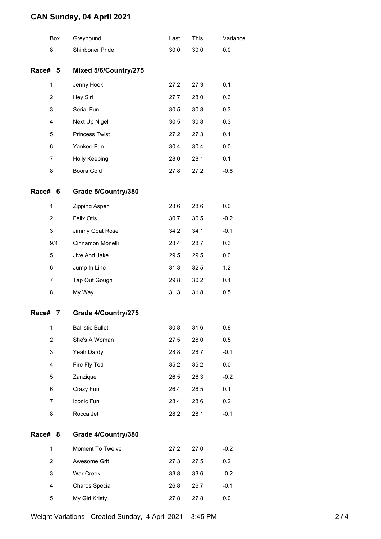### **CAN Sunday, 04 April 2021**

|         | Box            | Greyhound               | Last | This | Variance |
|---------|----------------|-------------------------|------|------|----------|
|         | 8              | Shinboner Pride         | 30.0 | 30.0 | 0.0      |
| Race# 5 |                | Mixed 5/6/Country/275   |      |      |          |
|         | 1              | Jenny Hook              | 27.2 | 27.3 | 0.1      |
|         | $\overline{c}$ | Hey Siri                | 27.7 | 28.0 | 0.3      |
|         | 3              | Serial Fun              | 30.5 | 30.8 | 0.3      |
|         | 4              | Next Up Nigel           | 30.5 | 30.8 | 0.3      |
|         | 5              | <b>Princess Twist</b>   | 27.2 | 27.3 | 0.1      |
|         | 6              | Yankee Fun              | 30.4 | 30.4 | 0.0      |
|         | $\overline{7}$ | Holly Keeping           | 28.0 | 28.1 | 0.1      |
|         | 8              | Boora Gold              | 27.8 | 27.2 | $-0.6$   |
| Race#   | 6              | Grade 5/Country/380     |      |      |          |
|         | 1              | Zipping Aspen           | 28.6 | 28.6 | 0.0      |
|         | $\overline{2}$ | <b>Felix Otis</b>       | 30.7 | 30.5 | $-0.2$   |
|         | 3              | Jimmy Goat Rose         | 34.2 | 34.1 | $-0.1$   |
|         | 9/4            | Cinnamon Monelli        | 28.4 | 28.7 | 0.3      |
|         | 5              | Jive And Jake           | 29.5 | 29.5 | 0.0      |
|         | 6              | Jump In Line            | 31.3 | 32.5 | 1.2      |
|         | $\overline{7}$ | Tap Out Gough           | 29.8 | 30.2 | 0.4      |
|         | 8              | My Way                  | 31.3 | 31.8 | 0.5      |
| Race#   | 7              | Grade 4/Country/275     |      |      |          |
|         | 1              | <b>Ballistic Bullet</b> | 30.8 | 31.6 | 0.8      |
|         | $\overline{2}$ | She's A Woman           | 27.5 | 28.0 | 0.5      |
|         | 3              | Yeah Dardy              | 28.8 | 28.7 | $-0.1$   |
|         | 4              | Fire Fly Ted            | 35.2 | 35.2 | 0.0      |
|         | 5              | Zanzique                | 26.5 | 26.3 | $-0.2$   |
|         | 6              | Crazy Fun               | 26.4 | 26.5 | 0.1      |
|         | $\overline{7}$ | Iconic Fun              | 28.4 | 28.6 | 0.2      |
|         | 8              | Rocca Jet               | 28.2 | 28.1 | $-0.1$   |
| Race# 8 |                | Grade 4/Country/380     |      |      |          |
|         | $\mathbf{1}$   | Moment To Twelve        | 27.2 | 27.0 | $-0.2$   |
|         | $\overline{2}$ | Awesome Grit            | 27.3 | 27.5 | 0.2      |
|         | 3              | War Creek               | 33.8 | 33.6 | $-0.2$   |
|         | 4              | Charos Special          | 26.8 | 26.7 | $-0.1$   |
|         | 5              | My Girl Kristy          | 27.8 | 27.8 | 0.0      |

Weight Variations - Created Sunday, 4 April 2021 - 3:45 PM 2 / 4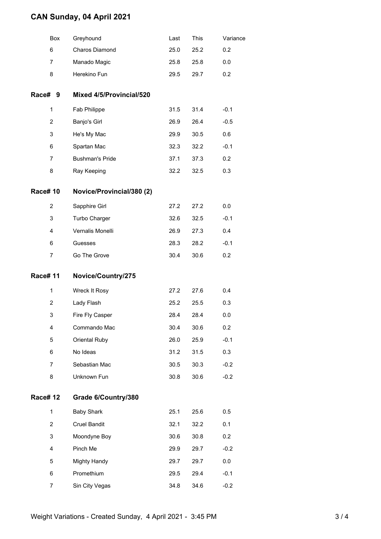### **CAN Sunday, 04 April 2021**

| This<br>Greyhound<br>Last<br>Box                      | Variance |
|-------------------------------------------------------|----------|
| Charos Diamond<br>6<br>25.0<br>25.2                   | 0.2      |
| Manado Magic<br>7<br>25.8<br>25.8                     | 0.0      |
| Herekino Fun<br>8<br>29.5<br>29.7                     | 0.2      |
| Race# 9<br>Mixed 4/5/Provincial/520                   |          |
| Fab Philippe<br>31.5<br>31.4<br>1                     | $-0.1$   |
| 2<br>Banjo's Girl<br>26.9<br>26.4                     | $-0.5$   |
| 3<br>He's My Mac<br>29.9<br>30.5                      | 0.6      |
| 6<br>Spartan Mac<br>32.3<br>32.2                      | $-0.1$   |
| <b>Bushman's Pride</b><br>7<br>37.1<br>37.3           | 0.2      |
| 8<br>32.2<br>32.5<br>Ray Keeping                      | 0.3      |
| <b>Race#10</b><br>Novice/Provincial/380 (2)           |          |
| 2<br>Sapphire Girl<br>27.2<br>27.2                    | 0.0      |
| 3<br>Turbo Charger<br>32.6<br>32.5                    | $-0.1$   |
| Vernalis Monelli<br>4<br>26.9<br>27.3                 | 0.4      |
| 6<br>28.3<br>28.2<br>Guesses                          | $-0.1$   |
|                                                       |          |
| 7<br>Go The Grove<br>30.4<br>30.6                     | 0.2      |
| <b>Race#11</b><br>Novice/Country/275                  |          |
| 1<br>Wreck It Rosy<br>27.2<br>27.6                    | 0.4      |
| 2<br>Lady Flash<br>25.2<br>25.5                       | 0.3      |
| 3<br>Fire Fly Casper<br>28.4<br>28.4                  | 0.0      |
| Commando Mac<br>30.4<br>30.6<br>4                     | 0.2      |
| 5<br>Oriental Ruby<br>26.0<br>25.9                    | $-0.1$   |
| 31.2<br>6<br>No Ideas<br>31.5                         | 0.3      |
| Sebastian Mac<br>30.5<br>7<br>30.3                    | $-0.2$   |
| Unknown Fun<br>8<br>30.8<br>30.6                      | $-0.2$   |
| <b>Race#12</b><br>Grade 6/Country/380                 |          |
| <b>Baby Shark</b><br>$\mathbf{1}$<br>25.1<br>25.6     | 0.5      |
| <b>Cruel Bandit</b><br>$\overline{2}$<br>32.1<br>32.2 | 0.1      |
| 3<br>Moondyne Boy<br>30.6<br>30.8                     | 0.2      |
| 4<br>Pinch Me<br>29.9<br>29.7                         | $-0.2$   |
| <b>Mighty Handy</b><br>29.7<br>29.7<br>5              | 0.0      |
| Promethium<br>6<br>29.5<br>29.4                       | $-0.1$   |